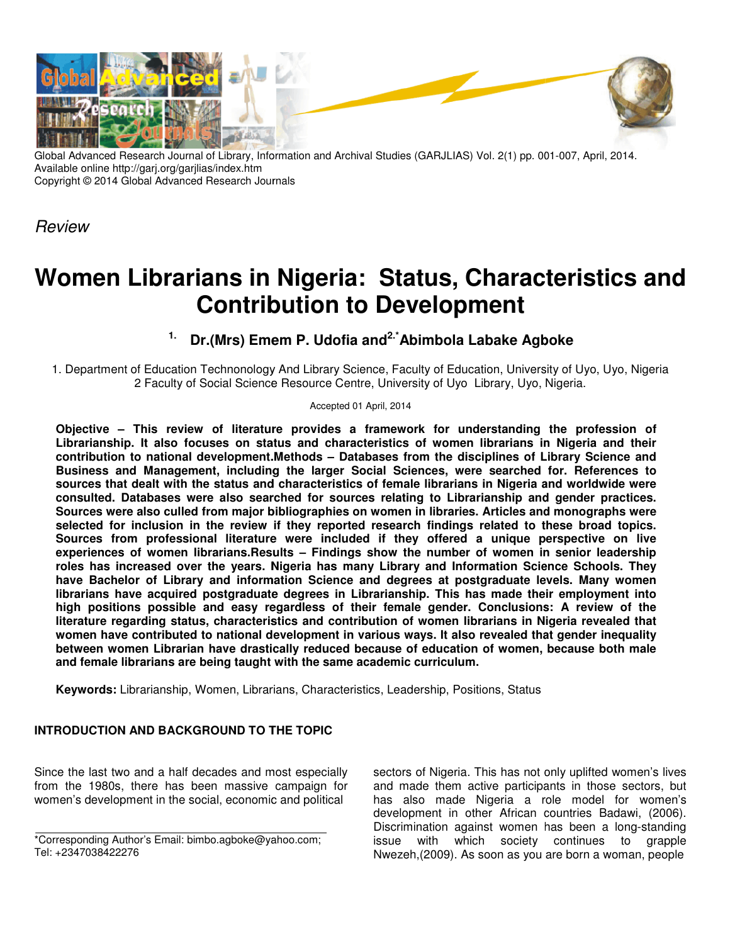

Global Advanced Research Journal of Library, Information and Archival Studies (GARJLIAS) Vol. 2(1) pp. 001-007, April, 2014. Available online http://garj.org/garjlias/index.htm Copyright © 2014 Global Advanced Research Journals

*Review*

# **Women Librarians in Nigeria: Status, Characteristics and Nigeria: Contribution to Development**

## **1. Dr.(Mrs) Emem P. Udofia and Dr.(Mrs) 2.\*Abimbola Labake Agboke Agboke**

1. Department of Education Technonology And Library Science, Faculty of Education, University of Uyo, Uyo, Nigeria<br>2 Faculty of Social Science Resource Centre, University of Uyo Library, Uyo, Nigeria. 2 Faculty of Social Science Resource Centre, University of Uyo Library, Uyo, Nigeria.

#### Accepted 01 April, 2014

**Objective – This review of literature provides a framework for understanding the profession profession of Librarianship. It also focuses on statu status and characteristics of women librarians in Nigeria and their**  contribution to national development.Methods – Databases from the disciplines of Library Science and Librarianship. It also focuses on status and characteristics of women librarians in Nigeria and their<br>contribution to national development.Methods – Databases from the disciplines of Library Science and<br>Business and Manage **sources that dealt with the status and status and characteristics of female librarians in Nigeria and and worldwide were consulted. Databases were also searched for sources relating to Librarianship and gender practices practices. Sources were also culled from major bibliographies on women in libraries. Articles and monographs were selected for inclusion in the review if they reported research findings related to t these broad topics.**  Sources from professional literature were included if they offered a unique perspective on live experiences of women librarians.Results – Findings show the number of women in senior leadership **roles has increased over the years. Nigeria has many Library and Informat many Information Science Schools. They**  have Bachelor of Library and information Science and degrees at postgraduate leve librarians have acquired postgraduate degrees in Librarianship. This has made their employment into librarians have acquired postgraduate degrees in Librarianship. This has made their employment into<br>high positions possible and easy regardless of their female gender. Conclusions: A review of the literature regarding status, characteristics and contribution of women librarians in Nigeria revealed that women have contributed to national development in various ways. It also revealed that gender inequality between women Librarian have drastically reduced because of education of women, because both male and female librarians are being taught with the same academic curriculum. tabases were also searched for sources relating to Librarianship and gender practices.<br>also culled from major bibliographies on women in libraries. Articles and monographs were<br>nclusion in the review if they reported resea ed if they offered a unique perspective on live<br>i show the number of women in senior leadership<br>my Library and Information Science Schools. They<br>and degrees at postgraduate levels. Many women

**Keywords:** Librarianship, Women, Librarians, Characteristics, Leadership, Positions Librarianship, Positions, Status

### INTRODUCTION AND BACKGROUND TO THE TOPIC

Since the last two and a half decades and most especially from the 1980s, there has been massive campaign for women's development in the social, economic and political Since the last two and a half decades and most especially<br>from the 1980s, there has been massive campaign for<br>women's development in the social, economic and political

\*Corresponding Author's Email: bimbo.agboke@yahoo.com; Tel: +2347038422276

two and a half decades and most especially sectors of Nigeria. This has not only uplifted women's lives<br>
1995, there has been massive campaign for and made them active participants in those sectors, but<br>
1997 books of Mige and made them active participants in those sectors, but has also made Nigeria a role model for women's development in other African countries Badawi, (2006). Discrimination against women has been a long-standing issue with which society continues to grapple issue with which society continues to grapple<br>Nwezeh,(2009). As soon as you are born a woman, people f Nigeria. This has not only uplifted women's lives<br>e them active participants in those sectors, but<br>o made Nigeria a role model for women's<br>nent in other African countries Badawi, (2006).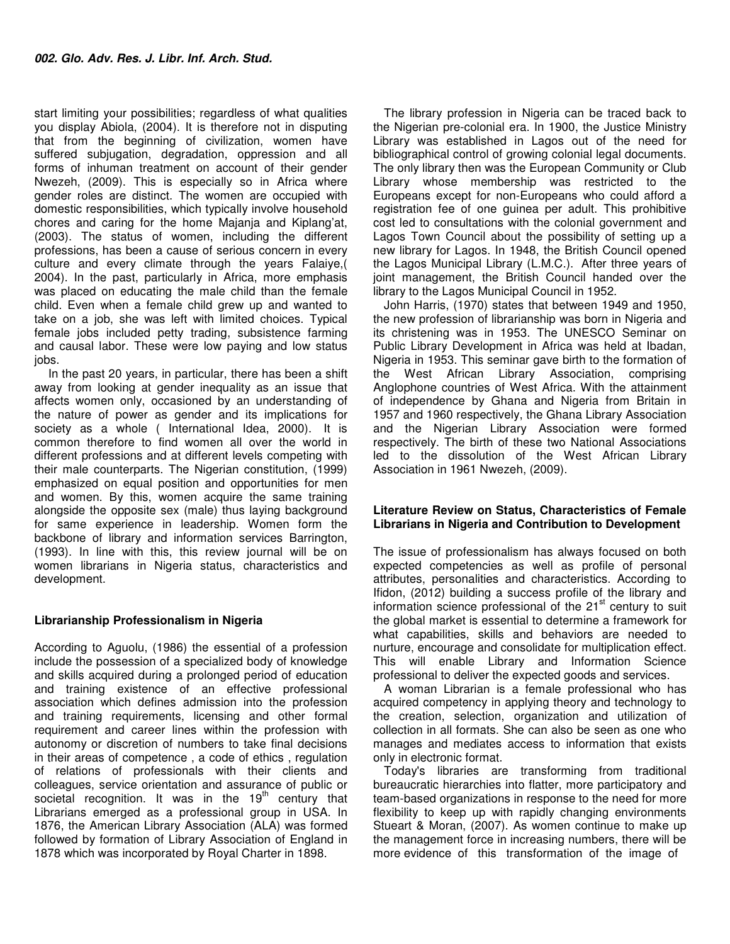start limiting your possibilities; regardless of what qualities you display Abiola, (2004). It is therefore not in disputing that from the beginning of civilization, women have suffered subjugation, degradation, oppression and all forms of inhuman treatment on account of their gender Nwezeh, (2009). This is especially so in Africa where gender roles are distinct. The women are occupied with domestic responsibilities, which typically involve household chores and caring for the home Majanja and Kiplang'at, (2003). The status of women, including the different professions, has been a cause of serious concern in every culture and every climate through the years Falaiye,( 2004). In the past, particularly in Africa, more emphasis was placed on educating the male child than the female child. Even when a female child grew up and wanted to take on a job, she was left with limited choices. Typical female jobs included petty trading, subsistence farming and causal labor. These were low paying and low status iobs.

 In the past 20 years, in particular, there has been a shift away from looking at gender inequality as an issue that affects women only, occasioned by an understanding of the nature of power as gender and its implications for society as a whole ( International Idea, 2000). It is common therefore to find women all over the world in different professions and at different levels competing with their male counterparts. The Nigerian constitution, (1999) emphasized on equal position and opportunities for men and women. By this, women acquire the same training alongside the opposite sex (male) thus laying background for same experience in leadership. Women form the backbone of library and information services Barrington, (1993). In line with this, this review journal will be on women librarians in Nigeria status, characteristics and development.

#### **Librarianship Professionalism in Nigeria**

According to Aguolu, (1986) the essential of a profession include the possession of a specialized body of knowledge and skills acquired during a prolonged period of education and training existence of an effective professional association which defines admission into the profession and training requirements, licensing and other formal requirement and career lines within the profession with autonomy or discretion of numbers to take final decisions in their areas of competence , a code of ethics , regulation of relations of professionals with their clients and colleagues, service orientation and assurance of public or societal recognition. It was in the  $19<sup>th</sup>$  century that Librarians emerged as a professional group in USA. In 1876, the American Library Association (ALA) was formed followed by formation of Library Association of England in 1878 which was incorporated by Royal Charter in 1898.

The library profession in Nigeria can be traced back to the Nigerian pre-colonial era. In 1900, the Justice Ministry Library was established in Lagos out of the need for bibliographical control of growing colonial legal documents. The only library then was the European Community or Club Library whose membership was restricted to the Europeans except for non-Europeans who could afford a registration fee of one guinea per adult. This prohibitive cost led to consultations with the colonial government and Lagos Town Council about the possibility of setting up a new library for Lagos. In 1948, the British Council opened the Lagos Municipal Library (L.M.C.). After three years of joint management, the British Council handed over the library to the Lagos Municipal Council in 1952.

John Harris, (1970) states that between 1949 and 1950, the new profession of librarianship was born in Nigeria and its christening was in 1953. The UNESCO Seminar on Public Library Development in Africa was held at Ibadan, Nigeria in 1953. This seminar gave birth to the formation of the West African Library Association, comprising Anglophone countries of West Africa. With the attainment of independence by Ghana and Nigeria from Britain in 1957 and 1960 respectively, the Ghana Library Association and the Nigerian Library Association were formed respectively. The birth of these two National Associations led to the dissolution of the West African Library Association in 1961 Nwezeh, (2009).

#### **Literature Review on Status, Characteristics of Female Librarians in Nigeria and Contribution to Development**

The issue of professionalism has always focused on both expected competencies as well as profile of personal attributes, personalities and characteristics. According to Ifidon, (2012) building a success profile of the library and information science professional of the  $21<sup>st</sup>$  century to suit the global market is essential to determine a framework for what capabilities, skills and behaviors are needed to nurture, encourage and consolidate for multiplication effect. This will enable Library and Information Science professional to deliver the expected goods and services.

A woman Librarian is a female professional who has acquired competency in applying theory and technology to the creation, selection, organization and utilization of collection in all formats. She can also be seen as one who manages and mediates access to information that exists only in electronic format.

Today's libraries are transforming from traditional bureaucratic hierarchies into flatter, more participatory and team-based organizations in response to the need for more flexibility to keep up with rapidly changing environments Stueart & Moran, (2007). As women continue to make up the management force in increasing numbers, there will be more evidence of this transformation of the image of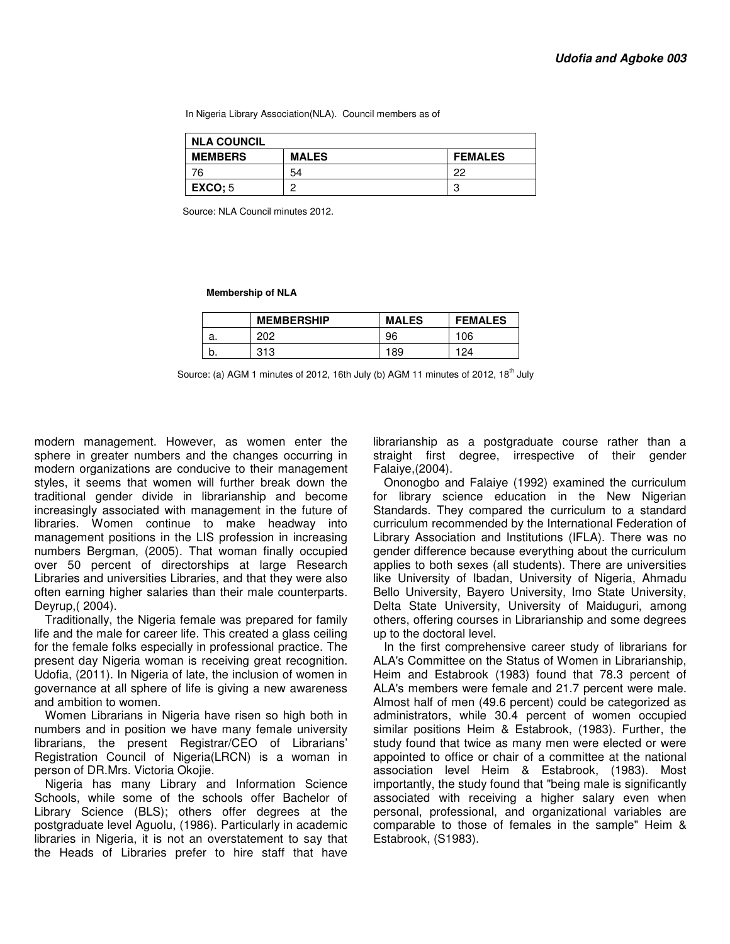In Nigeria Library Association(NLA). Council members as of

| <b>NLA COUNCIL</b> |              |                |  |  |
|--------------------|--------------|----------------|--|--|
| <b>MEMBERS</b>     | <b>MALES</b> | <b>FEMALES</b> |  |  |
| 76                 | 54           | つつ             |  |  |
| <b>EXCO:</b> 5     | C            | C<br>ω         |  |  |

Source: NLA Council minutes 2012.

 **Membership of NLA** 

|    | <b>MEMBERSHIP</b> | <b>MALES</b> | <b>FEMALES</b> |
|----|-------------------|--------------|----------------|
| а. | 202               | 96           | 106            |
|    | 313               | 189          | 124            |

Source: (a) AGM 1 minutes of 2012, 16th July (b) AGM 11 minutes of 2012,  $18<sup>th</sup>$  July

modern management. However, as women enter the sphere in greater numbers and the changes occurring in modern organizations are conducive to their management styles, it seems that women will further break down the traditional gender divide in librarianship and become increasingly associated with management in the future of libraries. Women continue to make headway into management positions in the LIS profession in increasing numbers Bergman, (2005). That woman finally occupied over 50 percent of directorships at large Research Libraries and universities Libraries, and that they were also often earning higher salaries than their male counterparts. Deyrup,( 2004).

Traditionally, the Nigeria female was prepared for family life and the male for career life. This created a glass ceiling for the female folks especially in professional practice. The present day Nigeria woman is receiving great recognition. Udofia, (2011). In Nigeria of late, the inclusion of women in governance at all sphere of life is giving a new awareness and ambition to women.

Women Librarians in Nigeria have risen so high both in numbers and in position we have many female university librarians, the present Registrar/CEO of Librarians' Registration Council of Nigeria(LRCN) is a woman in person of DR.Mrs. Victoria Okojie.

Nigeria has many Library and Information Science Schools, while some of the schools offer Bachelor of Library Science (BLS); others offer degrees at the postgraduate level Aguolu, (1986). Particularly in academic libraries in Nigeria, it is not an overstatement to say that the Heads of Libraries prefer to hire staff that have

librarianship as a postgraduate course rather than a straight first degree, irrespective of their gender Falaiye,(2004).

Ononogbo and Falaiye (1992) examined the curriculum for library science education in the New Nigerian Standards. They compared the curriculum to a standard curriculum recommended by the International Federation of Library Association and Institutions (IFLA). There was no gender difference because everything about the curriculum applies to both sexes (all students). There are universities like University of Ibadan, University of Nigeria, Ahmadu Bello University, Bayero University, Imo State University, Delta State University, University of Maiduguri, among others, offering courses in Librarianship and some degrees up to the doctoral level.

In the first comprehensive career study of librarians for ALA's Committee on the Status of Women in Librarianship, Heim and Estabrook (1983) found that 78.3 percent of ALA's members were female and 21.7 percent were male. Almost half of men (49.6 percent) could be categorized as administrators, while 30.4 percent of women occupied similar positions Heim & Estabrook, (1983). Further, the study found that twice as many men were elected or were appointed to office or chair of a committee at the national association level Heim & Estabrook, (1983). Most importantly, the study found that "being male is significantly associated with receiving a higher salary even when personal, professional, and organizational variables are comparable to those of females in the sample" Heim & Estabrook, (S1983).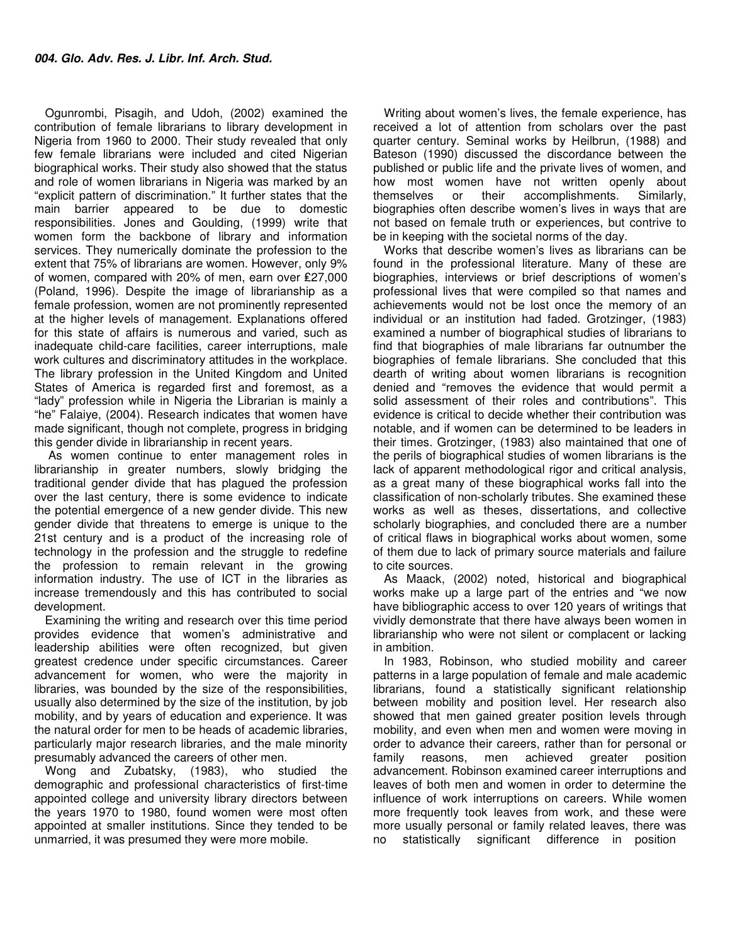Ogunrombi, Pisagih, and Udoh, (2002) examined the contribution of female librarians to library development in Nigeria from 1960 to 2000. Their study revealed that only few female librarians were included and cited Nigerian biographical works. Their study also showed that the status and role of women librarians in Nigeria was marked by an "explicit pattern of discrimination." It further states that the main barrier appeared to be due to domestic responsibilities. Jones and Goulding, (1999) write that women form the backbone of library and information services. They numerically dominate the profession to the extent that 75% of librarians are women. However, only 9% of women, compared with 20% of men, earn over ₤27,000 (Poland, 1996). Despite the image of librarianship as a female profession, women are not prominently represented at the higher levels of management. Explanations offered for this state of affairs is numerous and varied, such as inadequate child-care facilities, career interruptions, male work cultures and discriminatory attitudes in the workplace. The library profession in the United Kingdom and United States of America is regarded first and foremost, as a "lady" profession while in Nigeria the Librarian is mainly a "he" Falaiye, (2004). Research indicates that women have made significant, though not complete, progress in bridging this gender divide in librarianship in recent years.

 As women continue to enter management roles in librarianship in greater numbers, slowly bridging the traditional gender divide that has plagued the profession over the last century, there is some evidence to indicate the potential emergence of a new gender divide. This new gender divide that threatens to emerge is unique to the 21st century and is a product of the increasing role of technology in the profession and the struggle to redefine the profession to remain relevant in the growing information industry. The use of ICT in the libraries as increase tremendously and this has contributed to social development.

Examining the writing and research over this time period provides evidence that women's administrative and leadership abilities were often recognized, but given greatest credence under specific circumstances. Career advancement for women, who were the majority in libraries, was bounded by the size of the responsibilities, usually also determined by the size of the institution, by job mobility, and by years of education and experience. It was the natural order for men to be heads of academic libraries, particularly major research libraries, and the male minority presumably advanced the careers of other men.

Wong and Zubatsky, (1983), who studied the demographic and professional characteristics of first-time appointed college and university library directors between the years 1970 to 1980, found women were most often appointed at smaller institutions. Since they tended to be unmarried, it was presumed they were more mobile.

Writing about women's lives, the female experience, has received a lot of attention from scholars over the past quarter century. Seminal works by Heilbrun, (1988) and Bateson (1990) discussed the discordance between the published or public life and the private lives of women, and how most women have not written openly about themselves or their accomplishments. Similarly, biographies often describe women's lives in ways that are not based on female truth or experiences, but contrive to be in keeping with the societal norms of the day.

Works that describe women's lives as librarians can be found in the professional literature. Many of these are biographies, interviews or brief descriptions of women's professional lives that were compiled so that names and achievements would not be lost once the memory of an individual or an institution had faded. Grotzinger, (1983) examined a number of biographical studies of librarians to find that biographies of male librarians far outnumber the biographies of female librarians. She concluded that this dearth of writing about women librarians is recognition denied and "removes the evidence that would permit a solid assessment of their roles and contributions". This evidence is critical to decide whether their contribution was notable, and if women can be determined to be leaders in their times. Grotzinger, (1983) also maintained that one of the perils of biographical studies of women librarians is the lack of apparent methodological rigor and critical analysis, as a great many of these biographical works fall into the classification of non-scholarly tributes. She examined these works as well as theses, dissertations, and collective scholarly biographies, and concluded there are a number of critical flaws in biographical works about women, some of them due to lack of primary source materials and failure to cite sources.

As Maack, (2002) noted, historical and biographical works make up a large part of the entries and "we now have bibliographic access to over 120 years of writings that vividly demonstrate that there have always been women in librarianship who were not silent or complacent or lacking in ambition.

In 1983, Robinson, who studied mobility and career patterns in a large population of female and male academic librarians, found a statistically significant relationship between mobility and position level. Her research also showed that men gained greater position levels through mobility, and even when men and women were moving in order to advance their careers, rather than for personal or family reasons, men achieved greater position advancement. Robinson examined career interruptions and leaves of both men and women in order to determine the influence of work interruptions on careers. While women more frequently took leaves from work, and these were more usually personal or family related leaves, there was no statistically significant difference in position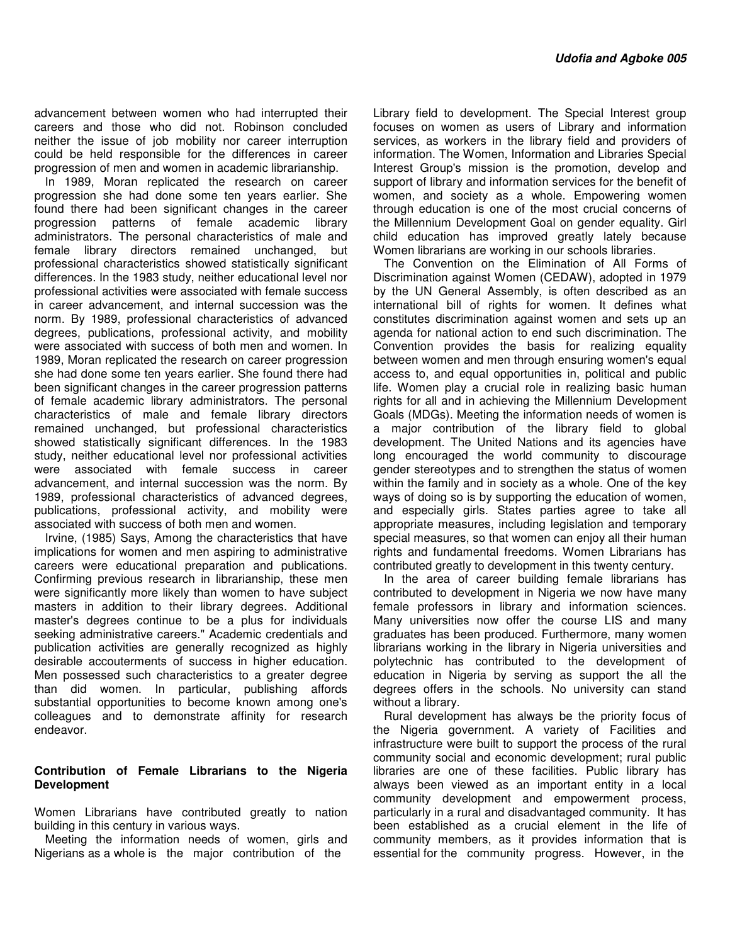advancement between women who had interrupted their careers and those who did not. Robinson concluded neither the issue of job mobility nor career interruption could be held responsible for the differences in career progression of men and women in academic librarianship.

In 1989, Moran replicated the research on career progression she had done some ten years earlier. She found there had been significant changes in the career progression patterns of female academic library administrators. The personal characteristics of male and female library directors remained unchanged, but professional characteristics showed statistically significant differences. In the 1983 study, neither educational level nor professional activities were associated with female success in career advancement, and internal succession was the norm. By 1989, professional characteristics of advanced degrees, publications, professional activity, and mobility were associated with success of both men and women. In 1989, Moran replicated the research on career progression she had done some ten years earlier. She found there had been significant changes in the career progression patterns of female academic library administrators. The personal characteristics of male and female library directors remained unchanged, but professional characteristics showed statistically significant differences. In the 1983 study, neither educational level nor professional activities were associated with female success in career advancement, and internal succession was the norm. By 1989, professional characteristics of advanced degrees, publications, professional activity, and mobility were associated with success of both men and women.

Irvine, (1985) Says, Among the characteristics that have implications for women and men aspiring to administrative careers were educational preparation and publications. Confirming previous research in librarianship, these men were significantly more likely than women to have subject masters in addition to their library degrees. Additional master's degrees continue to be a plus for individuals seeking administrative careers." Academic credentials and publication activities are generally recognized as highly desirable accouterments of success in higher education. Men possessed such characteristics to a greater degree than did women. In particular, publishing affords substantial opportunities to become known among one's colleagues and to demonstrate affinity for research endeavor.

#### **Contribution of Female Librarians to the Nigeria Development**

Women Librarians have contributed greatly to nation building in this century in various ways.

Meeting the information needs of women, girls and Nigerians as a whole is the major contribution of the

Library field to development. The Special Interest group focuses on women as users of Library and information services, as workers in the library field and providers of information. The Women, Information and Libraries Special Interest Group's mission is the promotion, develop and support of library and information services for the benefit of women, and society as a whole. Empowering women through education is one of the most crucial concerns of the Millennium Development Goal on gender equality. Girl child education has improved greatly lately because Women librarians are working in our schools libraries.

The Convention on the Elimination of All Forms of Discrimination against Women (CEDAW), adopted in 1979 by the UN General Assembly, is often described as an international bill of rights for women. It defines what constitutes discrimination against women and sets up an agenda for national action to end such discrimination. The Convention provides the basis for realizing equality between women and men through ensuring women's equal access to, and equal opportunities in, political and public life. Women play a crucial role in realizing basic human rights for all and in achieving the Millennium Development Goals (MDGs). Meeting the information needs of women is a major contribution of the library field to global development. The United Nations and its agencies have long encouraged the world community to discourage gender stereotypes and to strengthen the status of women within the family and in society as a whole. One of the key ways of doing so is by supporting the education of women, and especially girls. States parties agree to take all appropriate measures, including legislation and temporary special measures, so that women can enjoy all their human rights and fundamental freedoms. Women Librarians has contributed greatly to development in this twenty century.

In the area of career building female librarians has contributed to development in Nigeria we now have many female professors in library and information sciences. Many universities now offer the course LIS and many graduates has been produced. Furthermore, many women librarians working in the library in Nigeria universities and polytechnic has contributed to the development of education in Nigeria by serving as support the all the degrees offers in the schools. No university can stand without a library.

Rural development has always be the priority focus of the Nigeria government. A variety of Facilities and infrastructure were built to support the process of the rural community social and economic development; rural public libraries are one of these facilities. Public library has always been viewed as an important entity in a local community development and empowerment process, particularly in a rural and disadvantaged community. It has been established as a crucial element in the life of community members, as it provides information that is essential for the community progress. However, in the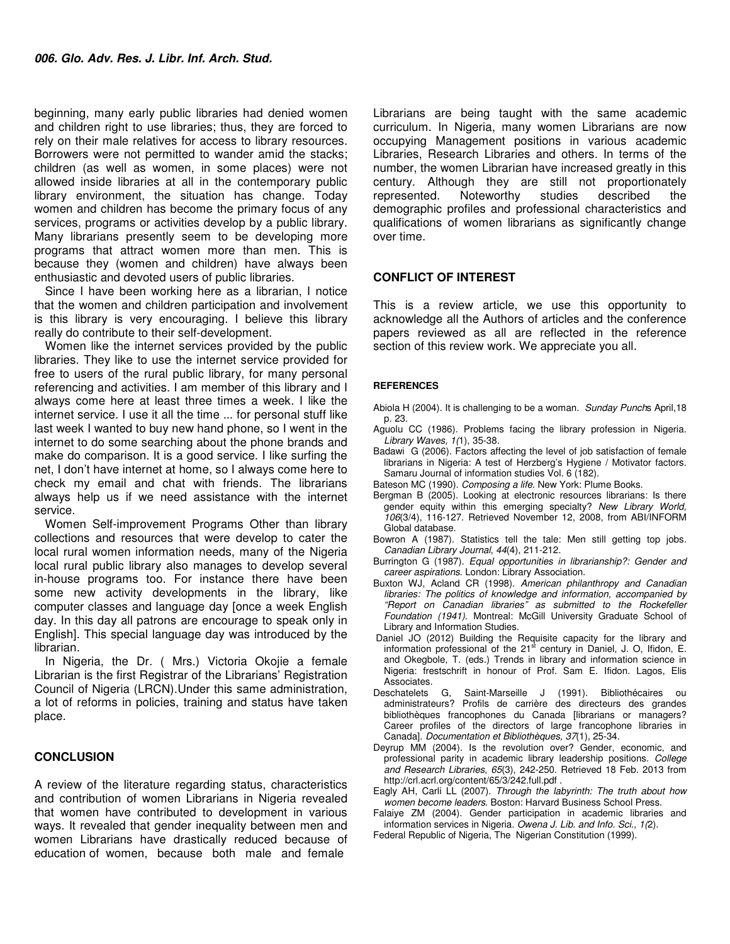beginning, many early public libraries had denied women and children right to use libraries; thus, they are forced to rely on their male relatives for access to library resources. Borrowers were not permitted to wander amid the stacks; children (as well as women, in some places) were not allowed inside libraries at all in the contemporary public library environment, the situation has change. Today women and children has become the primary focus of any services, programs or activities develop by a public library. Many librarians presently seem to be developing more programs that attract women more than men. This is because they (women and children) have always been enthusiastic and devoted users of public libraries.

Since I have been working here as a librarian, I notice that the women and children participation and involvement is this library is very encouraging. I believe this library really do contribute to their self-development.

Women like the internet services provided by the public libraries. They like to use the internet service provided for free to users of the rural public library, for many personal referencing and activities. I am member of this library and I always come here at least three times a week. I like the internet service. I use it all the time ... for personal stuff like last week I wanted to buy new hand phone, so I went in the internet to do some searching about the phone brands and make do comparison. It is a good service. I like surfing the net, I don't have internet at home, so I always come here to check my email and chat with friends. The librarians always help us if we need assistance with the internet service.

Women Self-improvement Programs Other than library collections and resources that were develop to cater the local rural women information needs, many of the Nigeria local rural public library also manages to develop several in-house programs too. For instance there have been some new activity developments in the library, like computer classes and language day [once a week English day. In this day all patrons are encourage to speak only in English]. This special language day was introduced by the librarian.

In Nigeria, the Dr. ( Mrs.) Victoria Okojie a female Librarian is the first Registrar of the Librarians' Registration Council of Nigeria (LRCN).Under this same administration, a lot of reforms in policies, training and status have taken place.

#### **CONCLUSION**

A review of the literature regarding status, characteristics and contribution of women Librarians in Nigeria revealed that women have contributed to development in various ways. It revealed that gender inequality between men and women Librarians have drastically reduced because of education of women, because both male and female

Librarians are being taught with the same academic curriculum. In Nigeria, many women Librarians are now occupying Management positions in various academic Libraries, Research Libraries and others. In terms of the number, the women Librarian have increased greatly in this century. Although they are still not proportionately represented. Noteworthy studies described the demographic profiles and professional characteristics and qualifications of women librarians as significantly change over time.

#### **CONFLICT OF INTEREST**

This is a review article, we use this opportunity to acknowledge all the Authors of articles and the conference papers reviewed as all are reflected in the reference section of this review work. We appreciate you all.

#### **REFERENCES**

- Abiola H (2004). It is challenging to be a woman. *Sunday Punch*s April,18 p. 23.
- Aguolu CC (1986). Problems facing the library profession in Nigeria. *Library Waves, 1(*1), 35-38.
- Badawi G (2006). Factors affecting the level of job satisfaction of female librarians in Nigeria: A test of Herzberg's Hygiene / Motivator factors. Samaru Journal of information studies Vol. 6 (182).
- Bateson MC (1990). *Composing a life.* New York: Plume Books.
- Bergman B (2005). Looking at electronic resources librarians: Is there gender equity within this emerging specialty? *New Library World, 106*(3/4), 116-127. Retrieved November 12, 2008, from ABI/INFORM Global database.
- Bowron A (1987). Statistics tell the tale: Men still getting top jobs. *Canadian Library Journal*, *44*(4), 211-212.
- Burrington G (1987). *Equal opportunities in librarianship?: Gender and career aspirations*. London: Library Association.
- Buxton WJ, Acland CR (1998). *American philanthropy and Canadian libraries: The politics of knowledge and information, accompanied by "Report on Canadian libraries" as submitted to the Rockefeller Foundation (1941)*. Montreal: McGill University Graduate School of Library and Information Studies.
- Daniel JO (2012) Building the Requisite capacity for the library and information professional of the  $21<sup>st</sup>$  century in Daniel, J. O, Ifidon, E. and Okegbole, T. (eds.) Trends in library and information science in Nigeria: frestschrift in honour of Prof. Sam E. Ifidon. Lagos, Elis Associates.
- Deschatelets G, Saint-Marseille J (1991). Bibliothécaires ou administrateurs? Profils de carrière des directeurs des grandes bibliothèques francophones du Canada [librarians or managers? Career profiles of the directors of large francophone libraries in Canada]. *Documentation et Bibliothèques, 37*(1), 25-34.
- Deyrup MM (2004). Is the revolution over? Gender, economic, and professional parity in academic library leadership positions. *College and Research Libraries, 65*(3), 242-250. Retrieved 18 Feb. 2013 from http://crl.acrl.org/content/65/3/242.full.pdf .
- Eagly AH, Carli LL (2007). *Through the labyrinth: The truth about how women become leaders*. Boston: Harvard Business School Press.
- Falaiye ZM (2004). Gender participation in academic libraries and information services in Nigeria. *Owena J. Lib. and Info. Sci., 1(*2).
- Federal Republic of Nigeria, The Nigerian Constitution (1999).